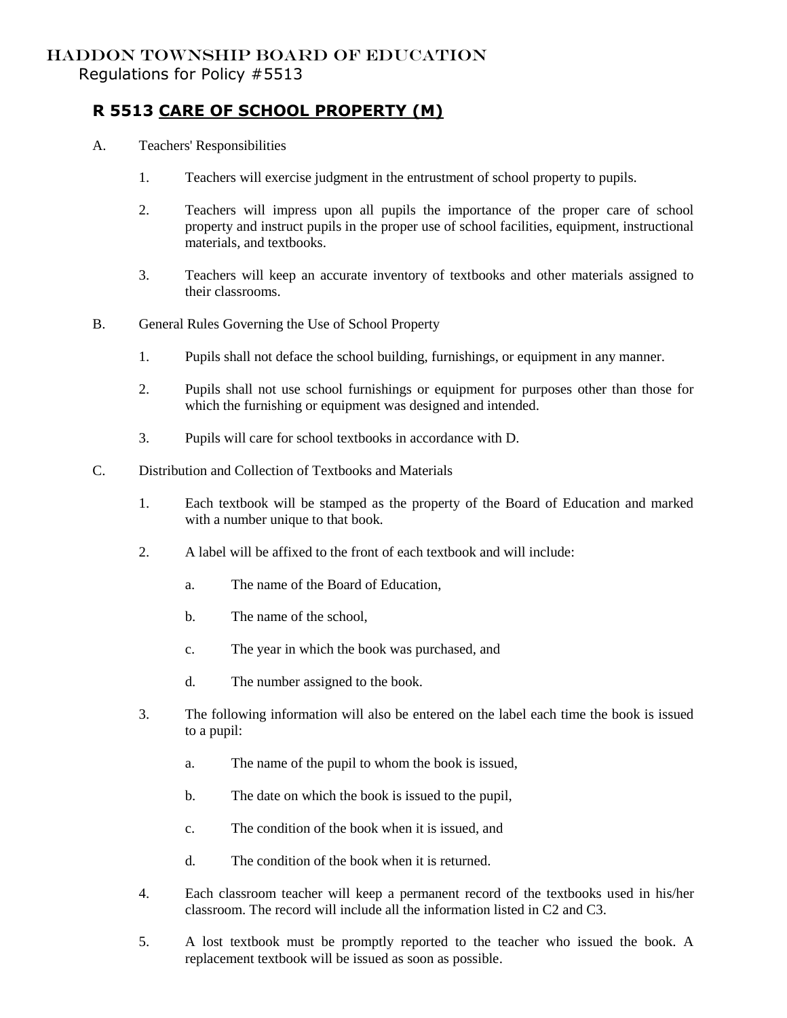## HADDON TOWNSHIP BOARD OF EDUCATION Regulations for Policy #5513

## **R 5513 CARE OF SCHOOL PROPERTY (M)**

- A. Teachers' Responsibilities
	- 1. Teachers will exercise judgment in the entrustment of school property to pupils.
	- 2. Teachers will impress upon all pupils the importance of the proper care of school property and instruct pupils in the proper use of school facilities, equipment, instructional materials, and textbooks.
	- 3. Teachers will keep an accurate inventory of textbooks and other materials assigned to their classrooms.
- B. General Rules Governing the Use of School Property
	- 1. Pupils shall not deface the school building, furnishings, or equipment in any manner.
	- 2. Pupils shall not use school furnishings or equipment for purposes other than those for which the furnishing or equipment was designed and intended.
	- 3. Pupils will care for school textbooks in accordance with D.
- C. Distribution and Collection of Textbooks and Materials
	- 1. Each textbook will be stamped as the property of the Board of Education and marked with a number unique to that book.
	- 2. A label will be affixed to the front of each textbook and will include:
		- a. The name of the Board of Education,
		- b. The name of the school,
		- c. The year in which the book was purchased, and
		- d. The number assigned to the book.
	- 3. The following information will also be entered on the label each time the book is issued to a pupil:
		- a. The name of the pupil to whom the book is issued,
		- b. The date on which the book is issued to the pupil,
		- c. The condition of the book when it is issued, and
		- d. The condition of the book when it is returned.
	- 4. Each classroom teacher will keep a permanent record of the textbooks used in his/her classroom. The record will include all the information listed in C2 and C3.
	- 5. A lost textbook must be promptly reported to the teacher who issued the book. A replacement textbook will be issued as soon as possible.